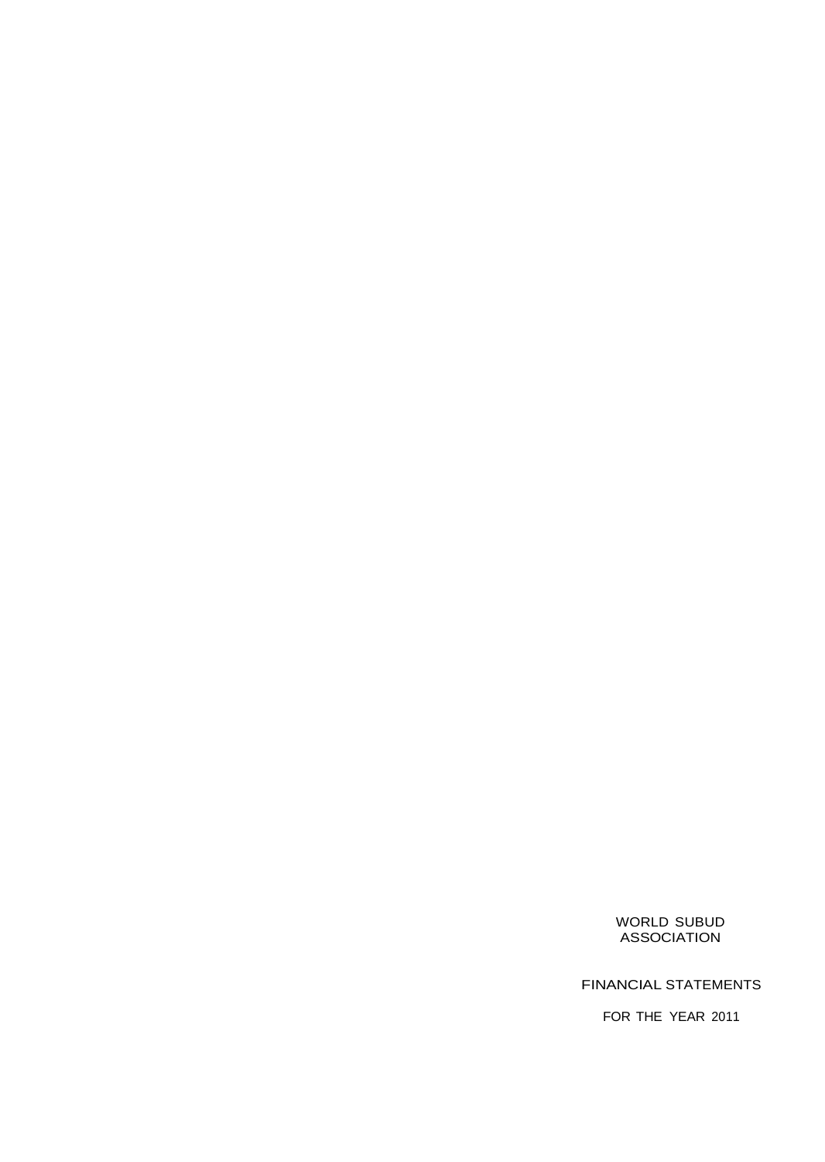FINANCIAL STATEMENTS

FOR THE YEAR 2011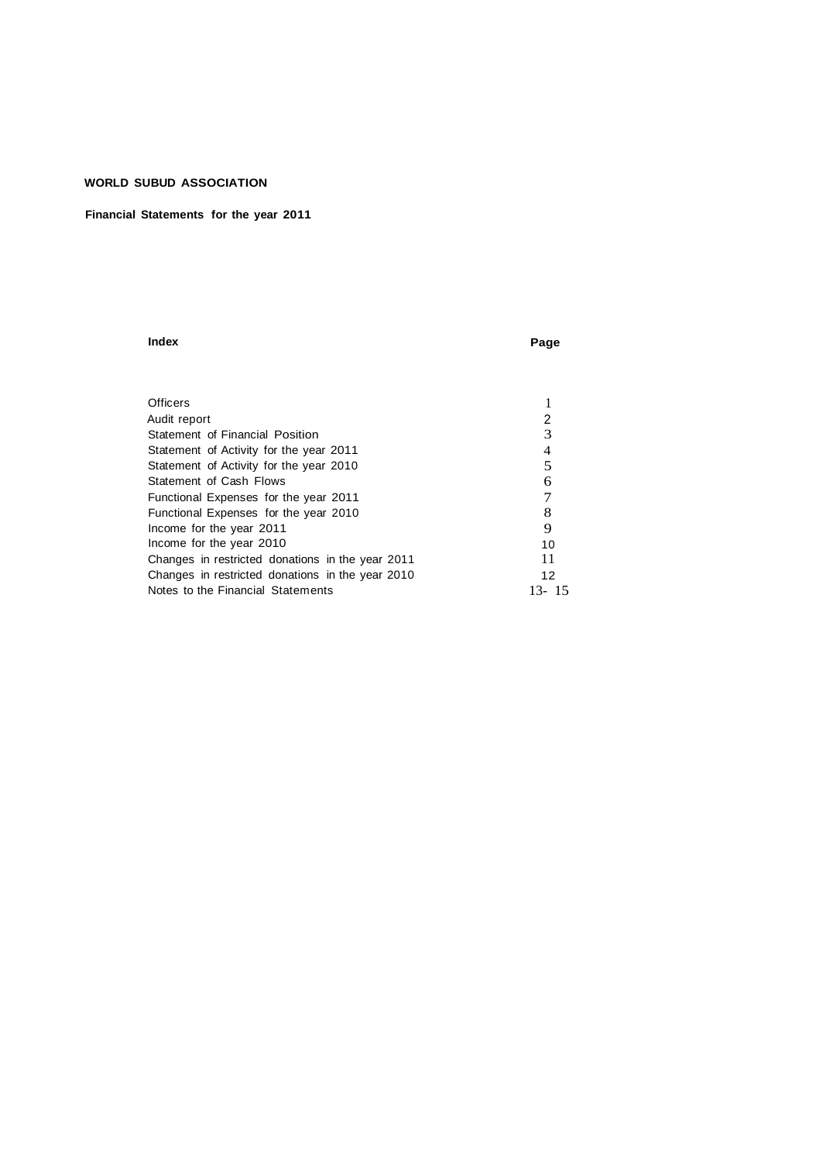## **Financial Statements for the year 2011**

#### **Index Page**

| <b>Officers</b>                                  |            |
|--------------------------------------------------|------------|
| Audit report                                     | 2          |
| Statement of Financial Position                  | 3          |
| Statement of Activity for the year 2011          | 4          |
| Statement of Activity for the year 2010          | 5          |
| Statement of Cash Flows                          | 6          |
| Functional Expenses for the year 2011            |            |
| Functional Expenses for the year 2010            | 8          |
| Income for the year 2011                         | 9          |
| Income for the year 2010                         | 10         |
| Changes in restricted donations in the year 2011 | 11         |
| Changes in restricted donations in the year 2010 | 12         |
| Notes to the Financial Statements                | -15<br>13- |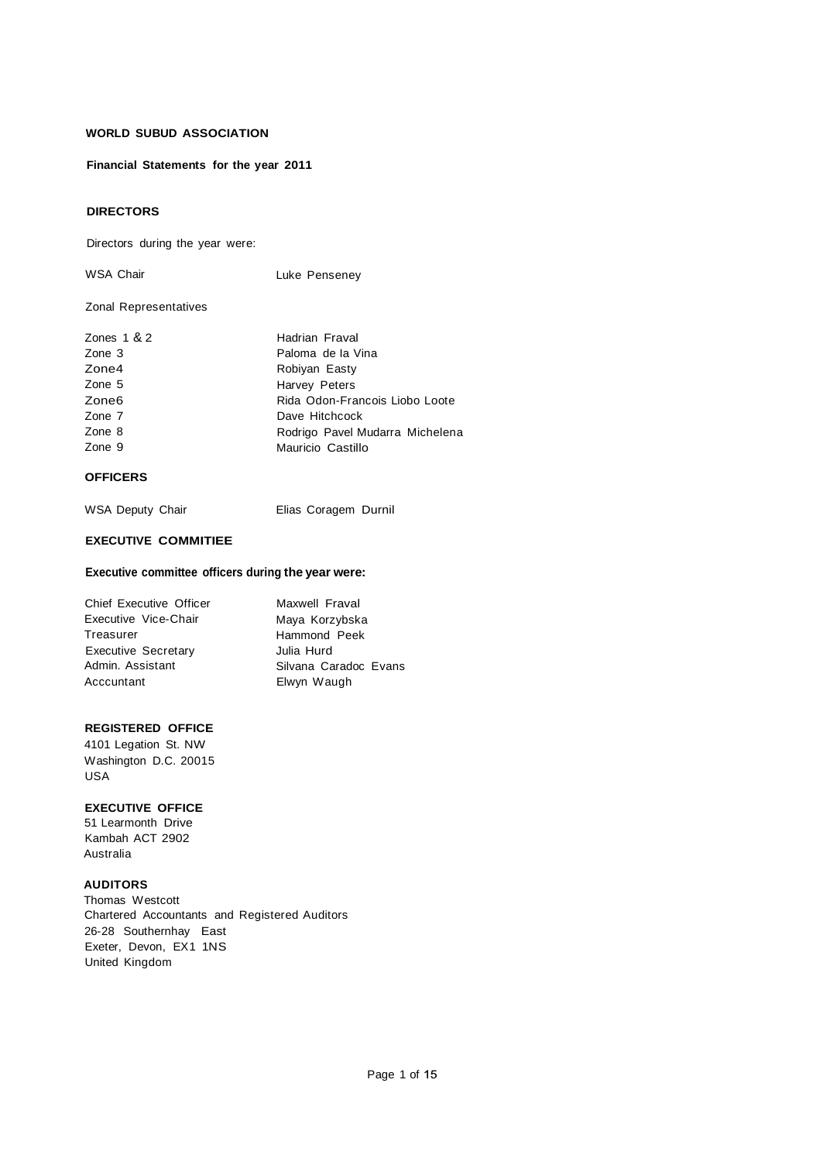**Financial Statements for the year 2011**

## **DIRECTORS**

Directors during the year were:

WSA Chair **Luke Penseney** 

## Zonal Representatives

| Rida Odon-Francois Liobo Loote  |
|---------------------------------|
|                                 |
| Rodrigo Pavel Mudarra Michelena |
|                                 |
|                                 |

## **OFFICERS**

| WSA Deputy Chair |  | Elias Coragem Durnil |  |
|------------------|--|----------------------|--|
|                  |  |                      |  |

## **EXECUTIVE COMMITIEE**

## **Executive committee officers during the year were:**

| <b>Chief Executive Officer</b> | Maxwell Fraval        |
|--------------------------------|-----------------------|
| Executive Vice-Chair           | Maya Korzybska        |
| Treasurer                      | Hammond Peek          |
| <b>Executive Secretary</b>     | Julia Hurd            |
| Admin, Assistant               | Silvana Caradoc Evans |
| Acccuntant                     | Elwyn Waugh           |

## **REGISTERED OFFICE**

4101 Legation St. NW Washington D.C. 20015 USA

## **EXECUTIVE OFFICE**

51 Learmonth Drive Kambah ACT 2902 Australia

## **AUDITORS**

Thomas Westcott Chartered Accountants and Registered Auditors 26-28 Southernhay East Exeter, Devon, EX1 1NS United Kingdom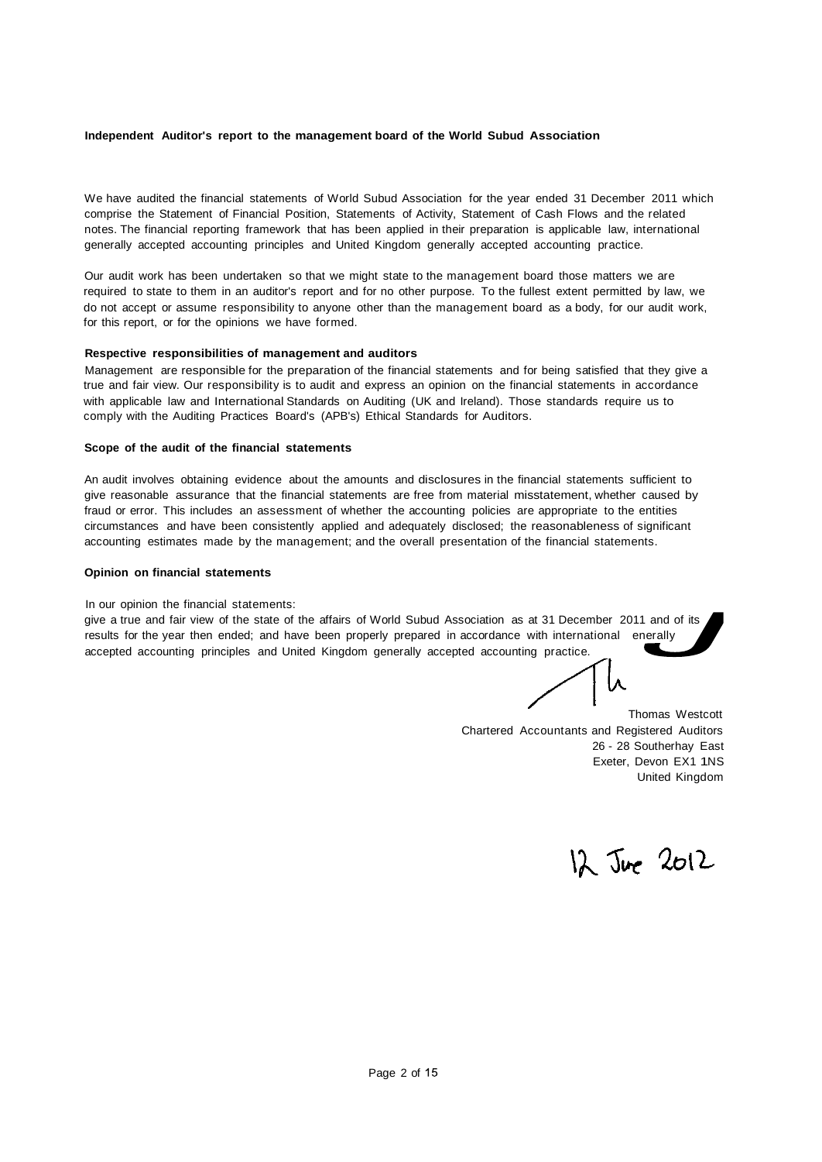## **Independent Auditor's report to the management board of the World Subud Association**

We have audited the financial statements of World Subud Association for the year ended 31 December 2011 which comprise the Statement of Financial Position, Statements of Activity, Statement of Cash Flows and the related notes. The financial reporting framework that has been applied in their preparation is applicable law, international generally accepted accounting principles and United Kingdom generally accepted accounting practice.

Our audit work has been undertaken so that we might state to the management board those matters we are required to state to them in an auditor's report and for no other purpose. To the fullest extent permitted by law, we do not accept or assume responsibility to anyone other than the management board as a body, for our audit work, for this report, or for the opinions we have formed.

## **Respective responsibilities of management and auditors**

Management are responsible for the preparation of the financial statements and for being satisfied that they give a true and fair view. Our responsibility is to audit and express an opinion on the financial statements in accordance with applicable law and International Standards on Auditing (UK and Ireland). Those standards require us to comply with the Auditing Practices Board's (APB's) Ethical Standards for Auditors.

#### **Scope of the audit of the financial statements**

An audit involves obtaining evidence about the amounts and disclosures in the financial statements sufficient to give reasonable assurance that the financial statements are free from material misstatement, whether caused by fraud or error. This includes an assessment of whether the accounting policies are appropriate to the entities circumstances and have been consistently applied and adequately disclosed; the reasonableness of significant accounting estimates made by the management; and the overall presentation of the financial statements.

## **Opinion on financial statements**

In our opinion the financial statements:

give a true and fair view of the state of the affairs of World Subud Association as at 31 December 2011 and of its results for the year then ended; and have been properly prepared in accordance with international enerally accepted accounting principles and United Kingdom generally accepted accounting practice.

Thomas Westcott Chartered Accountants and Registered Auditors 26 - 28 Southerhay East Exeter, Devon EX1 1NS United Kingdom

12 June 2012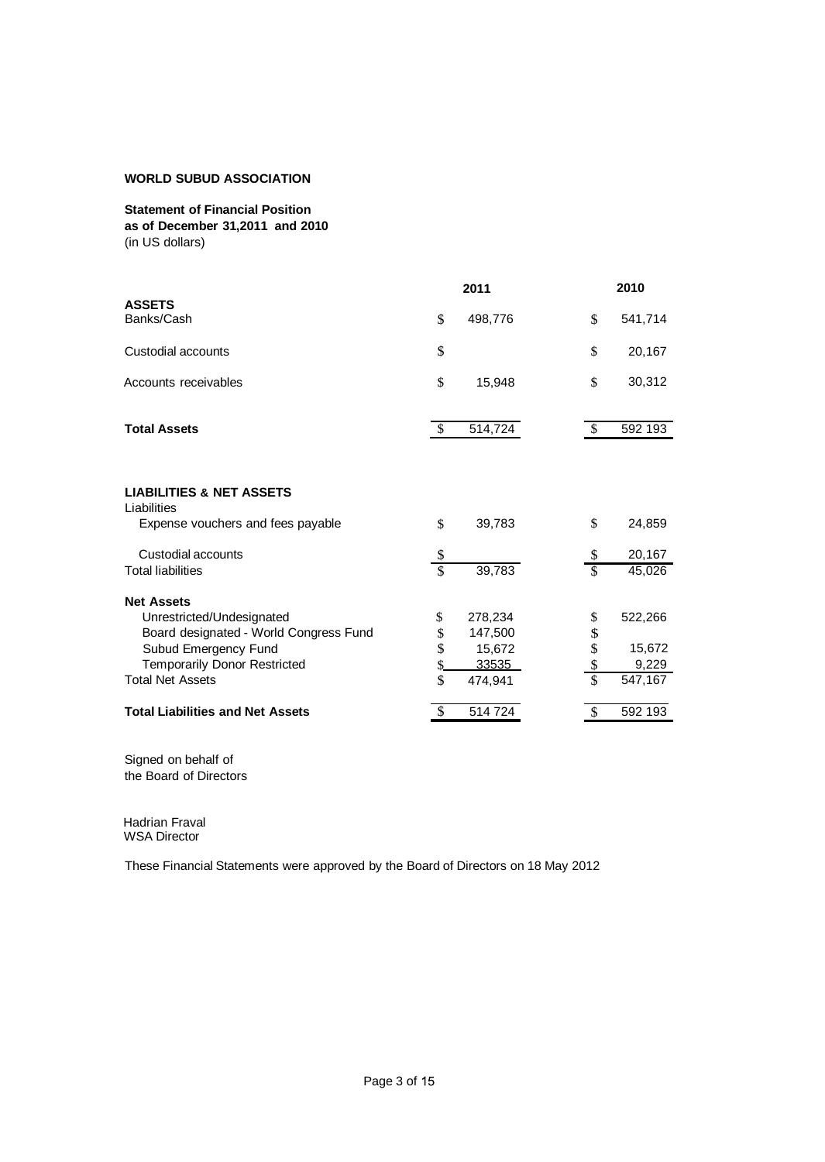**Statement of Financial Position as of December 31,2011 and 2010** (in US dollars)

|                                                    |               | 2011    |                 | 2010    |
|----------------------------------------------------|---------------|---------|-----------------|---------|
| <b>ASSETS</b><br>Banks/Cash                        | \$            | 498,776 | \$              | 541,714 |
| Custodial accounts                                 | \$            |         | \$              | 20,167  |
| Accounts receivables                               | \$            | 15,948  | \$              | 30,312  |
| <b>Total Assets</b>                                | <sup>\$</sup> | 514,724 | \$.             | 592 193 |
|                                                    |               |         |                 |         |
| <b>LIABILITIES &amp; NET ASSETS</b><br>Liabilities |               |         |                 |         |
| Expense vouchers and fees payable                  | \$            | 39,783  | \$              | 24,859  |
| Custodial accounts                                 | \$            |         | \$              | 20,167  |
| <b>Total liabilities</b>                           | \$            | 39,783  | $\mathcal{S}$   | 45,026  |
| <b>Net Assets</b>                                  |               |         |                 |         |
| Unrestricted/Undesignated                          | \$            | 278,234 | \$              | 522,266 |
| Board designated - World Congress Fund             | \$            | 147,500 |                 |         |
| Subud Emergency Fund                               | \$            | 15,672  | \$<br>\$        | 15,672  |
| <b>Temporarily Donor Restricted</b>                |               | 33535   | $\frac{\$}{\$}$ | 9,229   |
| <b>Total Net Assets</b>                            | \$            | 474,941 |                 | 547,167 |
| <b>Total Liabilities and Net Assets</b>            | \$            | 514 724 | \$              | 592 193 |

Signed on behalf of the Board of Directors

 Hadrian Fraval WSA Director

These Financial Statements were approved by the Board of Directors on 18 May 2012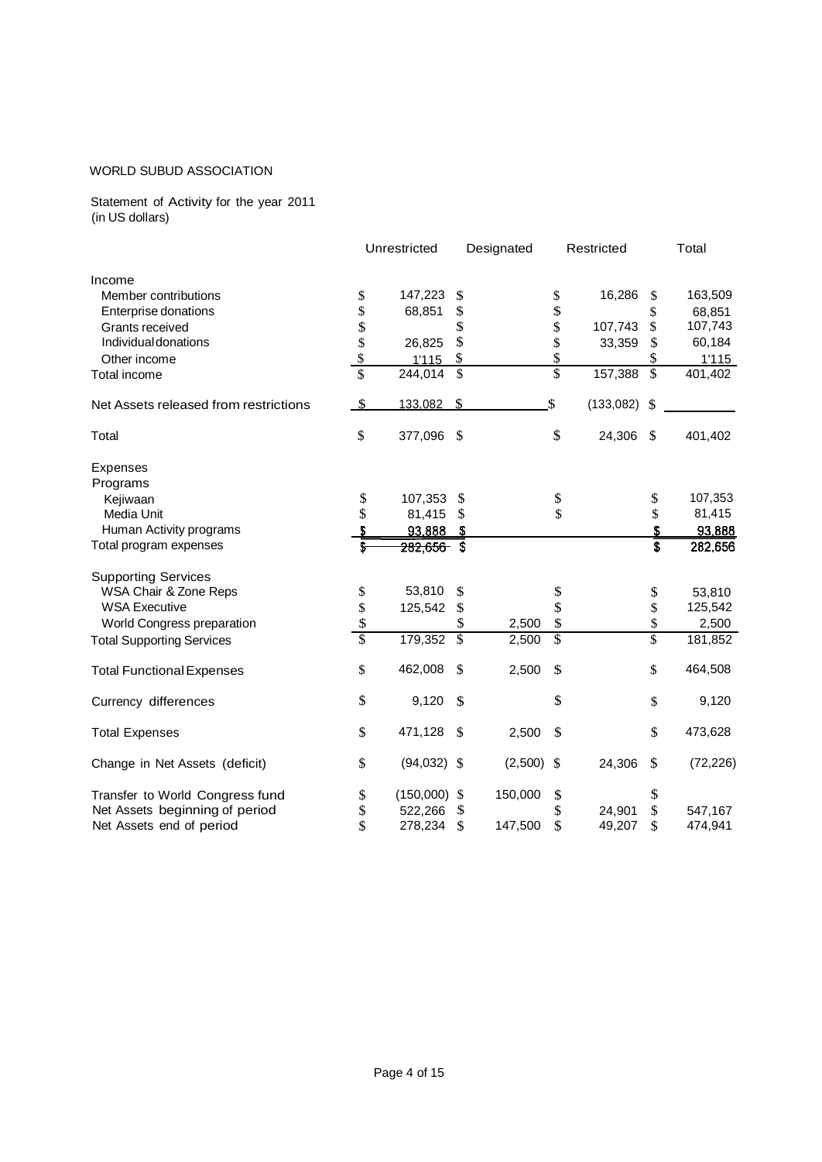Statement of Activity for the year 2011 (in US dollars)

|                                       |                           | Unrestricted   |                          | Designated |                 | Restricted |                          | Total     |
|---------------------------------------|---------------------------|----------------|--------------------------|------------|-----------------|------------|--------------------------|-----------|
| Income                                |                           |                |                          |            |                 |            |                          |           |
| Member contributions                  | \$                        | 147,223        | \$                       |            | \$              | 16,286     | \$                       | 163,509   |
| Enterprise donations                  | \$                        | 68,851         | \$                       |            | \$              |            | \$                       | 68,851    |
| Grants received                       | \$                        |                | \$                       |            | \$              | 107,743    | \$                       | 107,743   |
| Individual donations                  | \$                        | 26,825         | \$                       |            | \$              | 33,359     | \$                       | 60,184    |
| Other income                          | $\boldsymbol{\mathsf{S}}$ | 1'115          | \$                       |            | \$              |            |                          | 1'115     |
| Total income                          | $\overline{\mathbb{S}}$   | 244,014        | $\overline{\mathcal{S}}$ |            | $\overline{\$}$ | 157,388    | $\overline{\mathcal{S}}$ | 401,402   |
| Net Assets released from restrictions | \$                        | 133,082        | $\mathcal{S}$            |            | \$              | (133,082)  | \$                       |           |
| Total                                 | \$                        | 377,096        | $\mathcal{S}$            |            | \$              | 24,306     | \$                       | 401,402   |
| <b>Expenses</b><br>Programs           |                           |                |                          |            |                 |            |                          |           |
| Kejiwaan                              | \$                        | 107,353        | - \$                     |            | \$              |            | \$                       | 107,353   |
| Media Unit                            | \$                        | 81,415         | - \$                     |            | \$              |            | \$                       | 81,415    |
| Human Activity programs               |                           | 93,888         | - 5                      |            |                 |            | \$                       | 93,888    |
| Total program expenses                | \$                        | $282,656$ \$   |                          |            |                 |            | $\overline{\mathbf{s}}$  | 282,656   |
| <b>Supporting Services</b>            |                           |                |                          |            |                 |            |                          |           |
| WSA Chair & Zone Reps                 | \$                        | 53,810         | \$                       |            | \$              |            | \$                       | 53,810    |
| <b>WSA Executive</b>                  | \$                        | 125,542        | \$                       |            | \$              |            | \$                       | 125,542   |
| World Congress preparation            | \$                        |                | \$                       | 2,500      | \$              |            | \$                       | 2,500     |
| <b>Total Supporting Services</b>      | $\overline{\mathbb{S}}$   | 179,352        | $\overline{\mathcal{S}}$ | 2,500      | $\overline{\$}$ |            | \$                       | 181,852   |
| <b>Total Functional Expenses</b>      | \$                        | 462,008        | \$                       | 2,500      | \$              |            | \$                       | 464,508   |
| Currency differences                  | \$                        | 9,120          | \$                       |            | \$              |            | \$                       | 9,120     |
| <b>Total Expenses</b>                 | \$                        | 471,128        | \$                       | 2,500      | \$              |            | \$                       | 473,628   |
| Change in Net Assets (deficit)        | \$                        | $(94,032)$ \$  |                          | (2,500)    | $\mathcal{S}$   | 24,306     | \$                       | (72, 226) |
| Transfer to World Congress fund       | \$                        | $(150,000)$ \$ |                          | 150,000    | \$              |            | \$                       |           |
| Net Assets beginning of period        | \$                        | 522,266        | \$                       |            | \$              | 24,901     | \$                       | 547,167   |
| Net Assets end of period              | \$                        | 278,234        | \$                       | 147,500    | \$              | 49,207     | \$                       | 474,941   |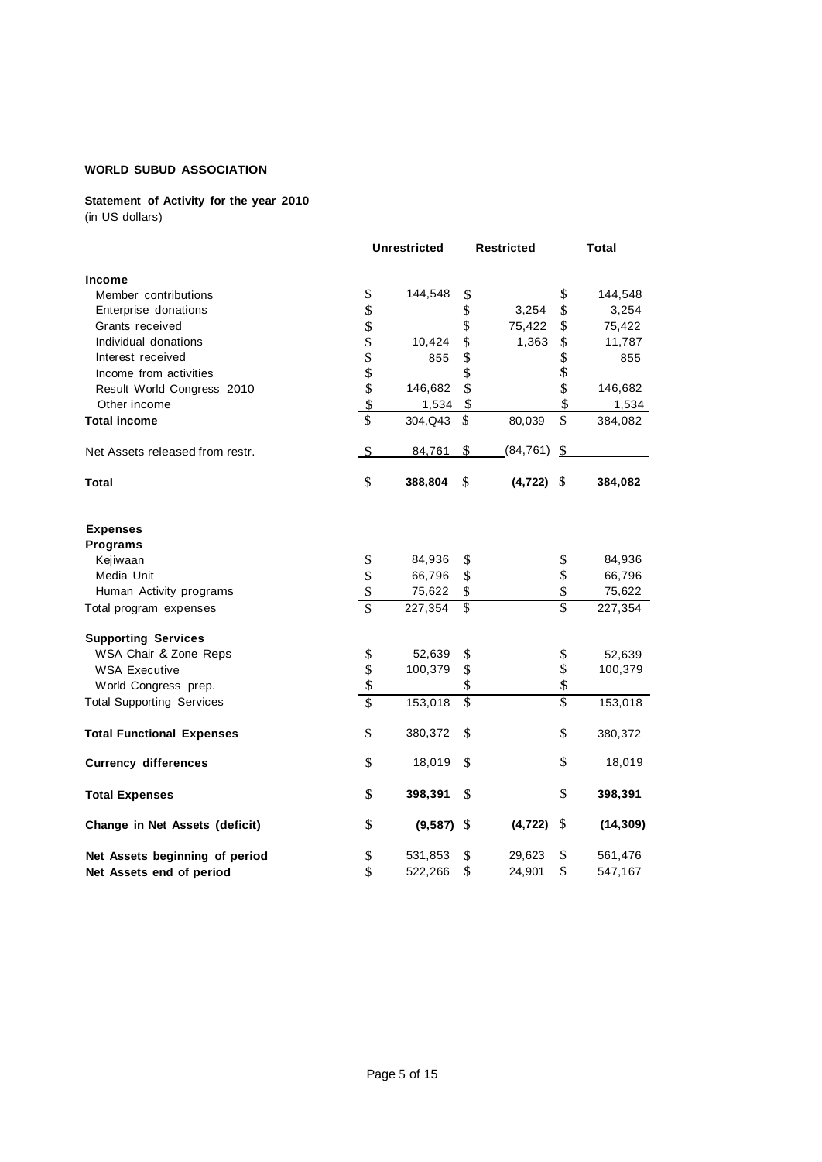# **Statement of Activity for the year 2010**

(in US dollars)

|                                  |                          | <b>Unrestricted</b> |                          | <b>Restricted</b> |                 | Total     |
|----------------------------------|--------------------------|---------------------|--------------------------|-------------------|-----------------|-----------|
| Income                           |                          |                     |                          |                   |                 |           |
| Member contributions             | \$                       | 144,548             | \$                       |                   | \$              | 144,548   |
| Enterprise donations             | \$                       |                     | \$                       | 3,254             | \$              | 3,254     |
| Grants received                  | \$                       |                     | \$                       | 75,422            | \$              | 75,422    |
| Individual donations             | \$                       | 10,424              | \$                       | 1,363             | \$              | 11,787    |
| Interest received                | \$                       | 855                 | \$                       |                   | \$              | 855       |
| Income from activities           | \$                       |                     | \$                       |                   | \$              |           |
| Result World Congress 2010       | \$                       | 146,682             | \$                       |                   | \$              | 146,682   |
| Other income                     | $\overline{\mathbf{S}}$  | 1,534               | \$                       |                   | \$              | 1,534     |
| <b>Total income</b>              | \$                       | 304, Q43            | \$                       | 80,039            | \$              | 384,082   |
| Net Assets released from restr.  | \$                       | 84,761              | \$                       | (84, 761)         | -\$             |           |
| <b>Total</b>                     | \$                       | 388,804             | \$                       | $(4,722)$ \$      |                 | 384,082   |
| <b>Expenses</b>                  |                          |                     |                          |                   |                 |           |
| Programs                         |                          |                     |                          |                   |                 |           |
| Kejiwaan                         | \$                       | 84,936              | \$                       |                   | \$              | 84,936    |
| Media Unit                       | \$                       | 66,796              | $\$$                     |                   | \$              | 66,796    |
| Human Activity programs          | \$                       | 75,622              | \$                       |                   | \$              | 75,622    |
| Total program expenses           | \$                       | 227,354             | \$                       |                   | \$              | 227,354   |
| <b>Supporting Services</b>       |                          |                     |                          |                   |                 |           |
| WSA Chair & Zone Reps            | \$                       | 52,639              | \$                       |                   | \$              | 52,639    |
| <b>WSA Executive</b>             | \$                       | 100,379             | \$                       |                   | \$              | 100,379   |
| World Congress prep.             | \$                       |                     | \$                       |                   | \$              |           |
| <b>Total Supporting Services</b> | $\overline{\mathcal{S}}$ | 153,018             | $\overline{\mathcal{S}}$ |                   | $\overline{\$}$ | 153,018   |
| <b>Total Functional Expenses</b> | \$                       | 380,372             | \$                       |                   | \$              | 380,372   |
| <b>Currency differences</b>      | \$                       | 18,019              | \$                       |                   | \$              | 18,019    |
| <b>Total Expenses</b>            | \$                       | 398,391             | \$.                      |                   | \$              | 398,391   |
| Change in Net Assets (deficit)   | \$                       | (9, 587)            | \$                       | (4, 722)          | S               | (14, 309) |
| Net Assets beginning of period   | \$                       | 531,853             | \$                       | 29,623            | \$              | 561,476   |
| Net Assets end of period         | \$                       | 522,266             | \$                       | 24,901            | \$              | 547,167   |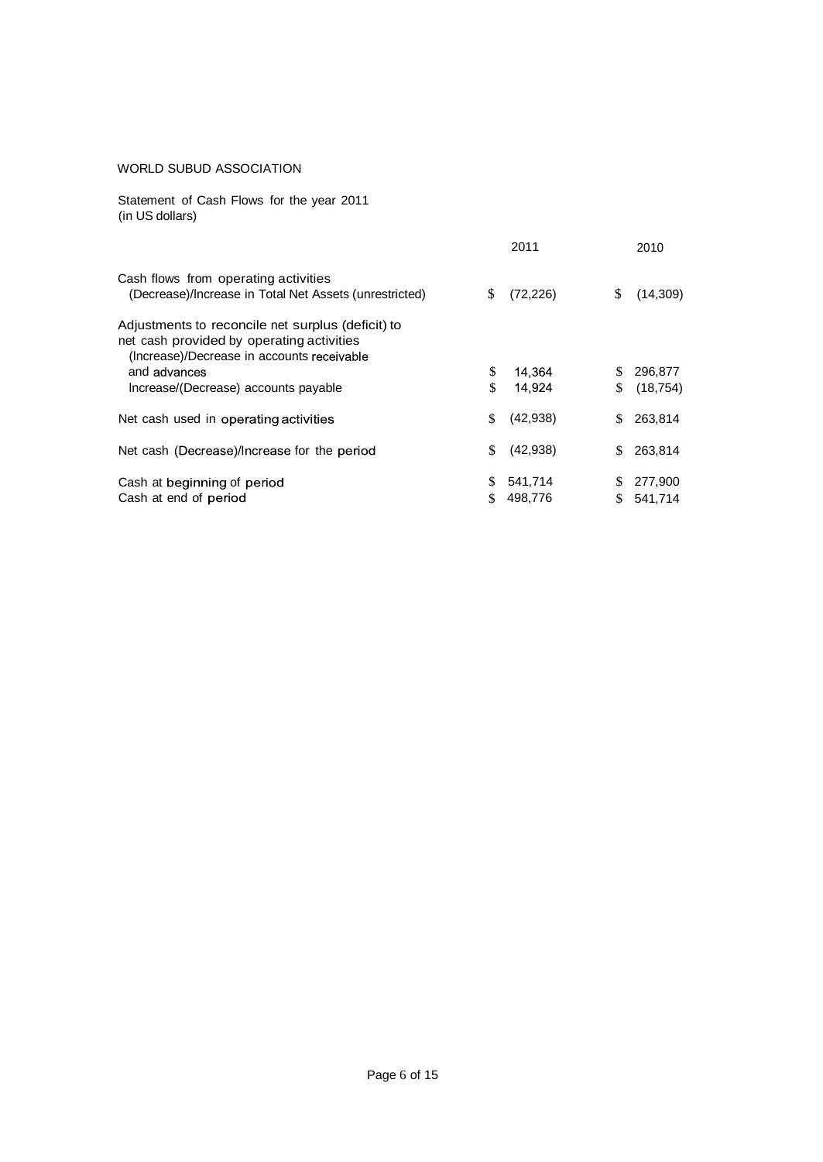Statement of Cash Flows for the year 2011 (in US dollars)

|                                                                                                                                              |    | 2011      |     | 2010      |
|----------------------------------------------------------------------------------------------------------------------------------------------|----|-----------|-----|-----------|
| Cash flows from operating activities<br>(Decrease)/Increase in Total Net Assets (unrestricted)                                               | S  | (72, 226) | S   | (14,309)  |
| Adjustments to reconcile net surplus (deficit) to<br>net cash provided by operating activities<br>(Increase)/Decrease in accounts receivable |    |           |     |           |
| and advances                                                                                                                                 | \$ | 14.364    |     | 296,877   |
| Increase/(Decrease) accounts payable                                                                                                         | \$ | 14.924    | \$. | (18, 754) |
| Net cash used in operating activities                                                                                                        | \$ | (42,938)  |     | 263.814   |
| Net cash (Decrease)/Increase for the period                                                                                                  | \$ | (42, 938) | \$  | 263,814   |
| Cash at beginning of period                                                                                                                  | \$ | 541,714   |     | 277,900   |
| Cash at end of period                                                                                                                        | \$ | 498,776   |     | 541,714   |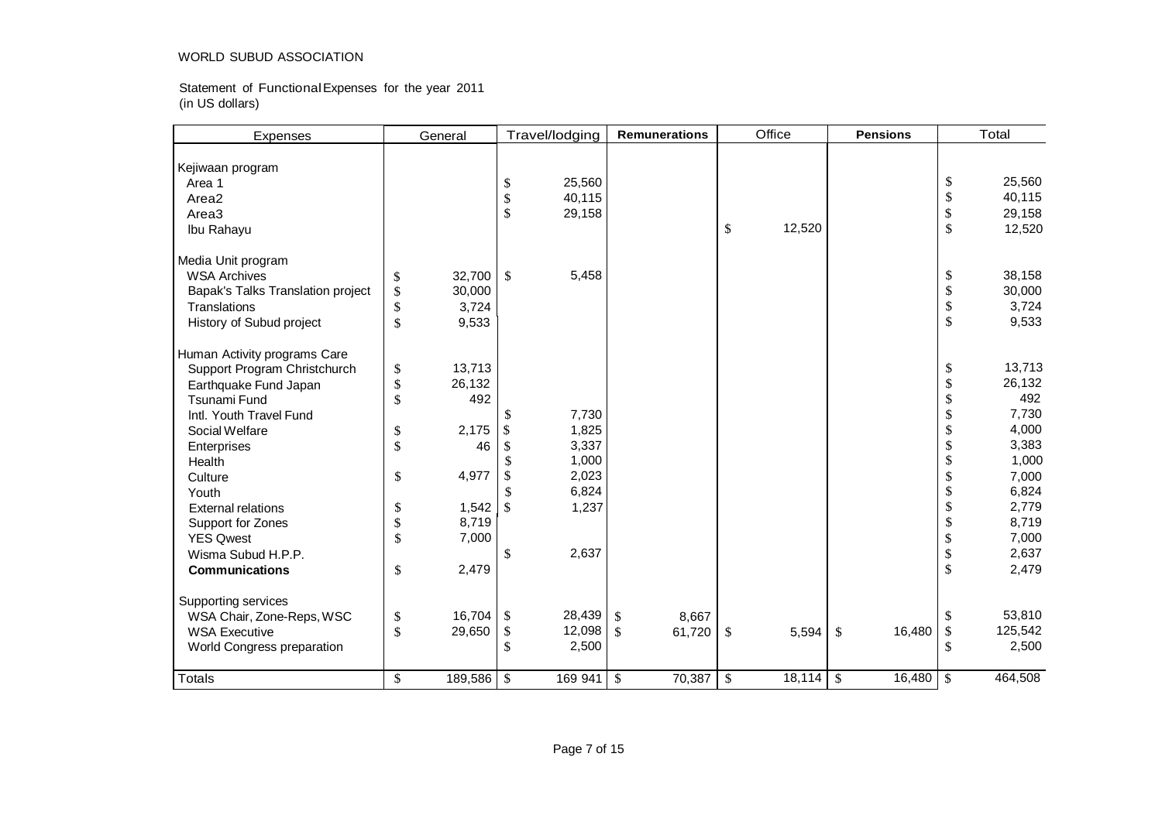Statement of FunctionalExpenses for the year 2011 (in US dollars)

| <b>Expenses</b>                   |      | General     |     | Travel/lodging | <b>Remunerations</b> |               | Office |              | <b>Pensions</b> | Total         |
|-----------------------------------|------|-------------|-----|----------------|----------------------|---------------|--------|--------------|-----------------|---------------|
| Kejiwaan program<br>Area 1        |      |             | \$  | 25,560         |                      |               |        |              |                 | \$<br>25,560  |
| Area2                             |      |             | \$  | 40,115         |                      |               |        |              |                 | \$<br>40,115  |
| Area <sub>3</sub>                 |      |             | \$  | 29,158         |                      |               |        |              |                 | \$<br>29,158  |
| Ibu Rahayu                        |      |             |     |                |                      | \$            | 12,520 |              |                 | \$<br>12,520  |
| Media Unit program                |      |             |     |                |                      |               |        |              |                 |               |
| <b>WSA Archives</b>               | \$   | 32,700      | \$  | 5,458          |                      |               |        |              |                 | \$<br>38,158  |
| Bapak's Talks Translation project | \$   | 30,000      |     |                |                      |               |        |              |                 | \$<br>30,000  |
| Translations                      | \$   | 3,724       |     |                |                      |               |        |              |                 | \$<br>3,724   |
| History of Subud project          | \$   | 9,533       |     |                |                      |               |        |              |                 | \$<br>9,533   |
| Human Activity programs Care      |      |             |     |                |                      |               |        |              |                 |               |
| Support Program Christchurch      | \$   | 13,713      |     |                |                      |               |        |              |                 | \$<br>13,713  |
| Earthquake Fund Japan             | $\$$ | 26,132      |     |                |                      |               |        |              |                 | \$<br>26,132  |
| Tsunami Fund                      | \$   | 492         |     |                |                      |               |        |              |                 | \$<br>492     |
| Intl. Youth Travel Fund           |      |             | \$. | 7,730          |                      |               |        |              |                 | \$<br>7,730   |
| Social Welfare                    | \$   | 2,175       | \$  | 1,825          |                      |               |        |              |                 | \$<br>4,000   |
| Enterprises                       | \$   | 46          | \$  | 3,337          |                      |               |        |              |                 | \$<br>3,383   |
| Health                            |      |             | \$  | 1,000          |                      |               |        |              |                 | \$<br>1,000   |
| Culture                           | \$   | 4,977       | \$  | 2,023          |                      |               |        |              |                 | \$<br>7,000   |
| Youth                             |      |             | \$  | 6,824          |                      |               |        |              |                 | \$<br>6,824   |
| <b>External relations</b>         | \$   | 1,542       | \$  | 1,237          |                      |               |        |              |                 | \$<br>2,779   |
| Support for Zones                 | \$   | 8,719       |     |                |                      |               |        |              |                 | \$<br>8,719   |
| <b>YES Qwest</b>                  | \$   | 7,000       |     |                |                      |               |        |              |                 | \$<br>7,000   |
| Wisma Subud H.P.P.                |      |             | \$  | 2,637          |                      |               |        |              |                 | \$<br>2,637   |
| <b>Communications</b>             | \$   | 2,479       |     |                |                      |               |        |              |                 | \$<br>2,479   |
| Supporting services               |      |             |     |                |                      |               |        |              |                 |               |
| WSA Chair, Zone-Reps, WSC         | \$   | $16,704$ \$ |     | 28,439         | \$<br>8,667          |               |        |              |                 | \$<br>53,810  |
| <b>WSA Executive</b>              | \$   | 29,650      | \$  | 12,098         | \$<br>61,720         | \$            | 5,594  | $\mathbb{S}$ | 16,480          | \$<br>125,542 |
| World Congress preparation        |      |             | \$  | 2,500          |                      |               |        |              |                 | \$<br>2,500   |
| <b>Totals</b>                     | \$   | 189,586     | \$  | 169 941        | \$<br>70,387         | $\mathcal{S}$ | 18,114 | \$           | 16,480          | \$<br>464,508 |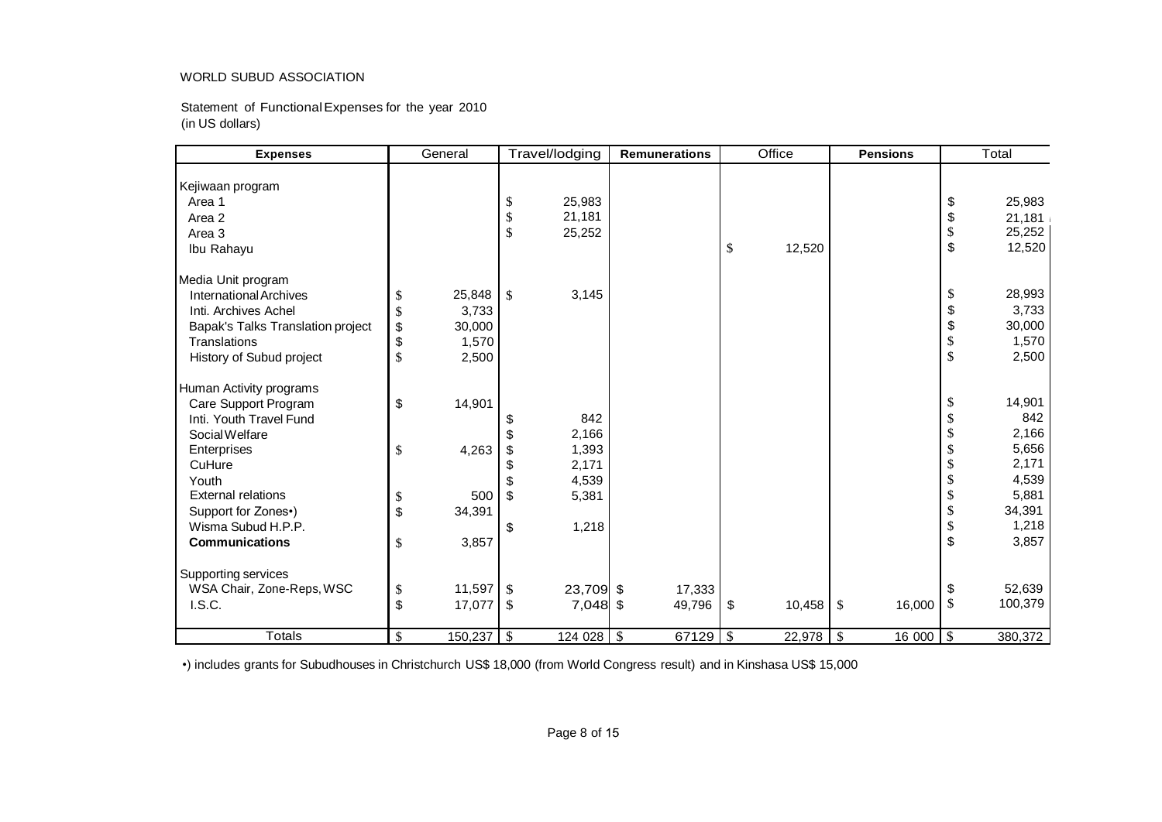Statement of FunctionalExpenses for the year 2010 (in US dollars)

| <b>Expenses</b>                   |              | General |               | Travel/lodging | <b>Remunerations</b> |    | Office | <b>Pensions</b> |                         | Total             |         |  |
|-----------------------------------|--------------|---------|---------------|----------------|----------------------|----|--------|-----------------|-------------------------|-------------------|---------|--|
|                                   |              |         |               |                |                      |    |        |                 |                         |                   |         |  |
| Kejiwaan program                  |              |         |               |                |                      |    |        |                 |                         |                   |         |  |
| Area 1                            |              |         | \$            | 25,983         |                      |    |        |                 |                         | \$                | 25,983  |  |
| Area 2                            |              |         | \$            | 21,181         |                      |    |        |                 |                         | \$                | 21,181  |  |
| Area 3                            |              |         | $\mathcal{S}$ | 25,252         |                      |    |        |                 |                         | $\$$              | 25,252  |  |
| Ibu Rahayu                        |              |         |               |                |                      | \$ | 12,520 |                 |                         | \$                | 12,520  |  |
| Media Unit program                |              |         |               |                |                      |    |        |                 |                         |                   |         |  |
| <b>International Archives</b>     | \$           | 25,848  | \$            | 3,145          |                      |    |        |                 |                         | \$                | 28,993  |  |
| Inti. Archives Achel              | \$           | 3,733   |               |                |                      |    |        |                 |                         | \$                | 3,733   |  |
| Bapak's Talks Translation project | \$           | 30,000  |               |                |                      |    |        |                 |                         | \$                | 30,000  |  |
| Translations                      | \$           | 1,570   |               |                |                      |    |        |                 |                         | $\boldsymbol{\$}$ | 1,570   |  |
| History of Subud project          | \$           | 2,500   |               |                |                      |    |        |                 |                         | $\$$              | 2,500   |  |
| Human Activity programs           |              |         |               |                |                      |    |        |                 |                         |                   |         |  |
| Care Support Program              | \$           | 14,901  |               |                |                      |    |        |                 |                         | \$                | 14,901  |  |
| Inti. Youth Travel Fund           |              |         |               | 842            |                      |    |        |                 |                         | \$                | 842     |  |
| Social Welfare                    |              |         |               | 2,166          |                      |    |        |                 |                         | \$                | 2,166   |  |
| Enterprises                       | \$           | 4,263   | \$            | 1,393          |                      |    |        |                 |                         | \$                | 5,656   |  |
| CuHure                            |              |         | \$            | 2,171          |                      |    |        |                 |                         | \$                | 2,171   |  |
| Youth                             |              |         |               | 4,539          |                      |    |        |                 |                         | \$                | 4,539   |  |
| <b>External relations</b>         | \$           | 500     | $\mathbb{S}$  | 5,381          |                      |    |        |                 |                         | \$                | 5,881   |  |
| Support for Zones•)               | \$           | 34,391  |               |                |                      |    |        |                 |                         | $\boldsymbol{\$}$ | 34,391  |  |
| Wisma Subud H.P.P.                |              |         | \$            | 1,218          |                      |    |        |                 |                         | \$                | 1,218   |  |
| <b>Communications</b>             | \$           | 3,857   |               |                |                      |    |        |                 |                         | $\$\$             | 3,857   |  |
| Supporting services               |              |         |               |                |                      |    |        |                 |                         |                   |         |  |
| WSA Chair, Zone-Reps, WSC         | \$           | 11,597  | <b>S</b>      | 23,709 \$      | 17,333               |    |        |                 |                         | \$                | 52,639  |  |
| I.S.C.                            | \$           | 17,077  | - \$          | 7,048 \$       | 49,796               | \$ | 10,458 | <sup>5</sup>    | 16,000                  | \$                | 100,379 |  |
|                                   |              |         |               |                |                      |    |        |                 |                         |                   |         |  |
| <b>Totals</b>                     | $\mathbb{S}$ |         |               | 124 028 \$     | 67129   $$$          |    |        |                 | $\overline{16}000$ \ \$ |                   | 380,372 |  |

•) includes grants for Subudhouses in Christchurch US\$ 18,000 (from World Congress result) and in Kinshasa US\$ 15,000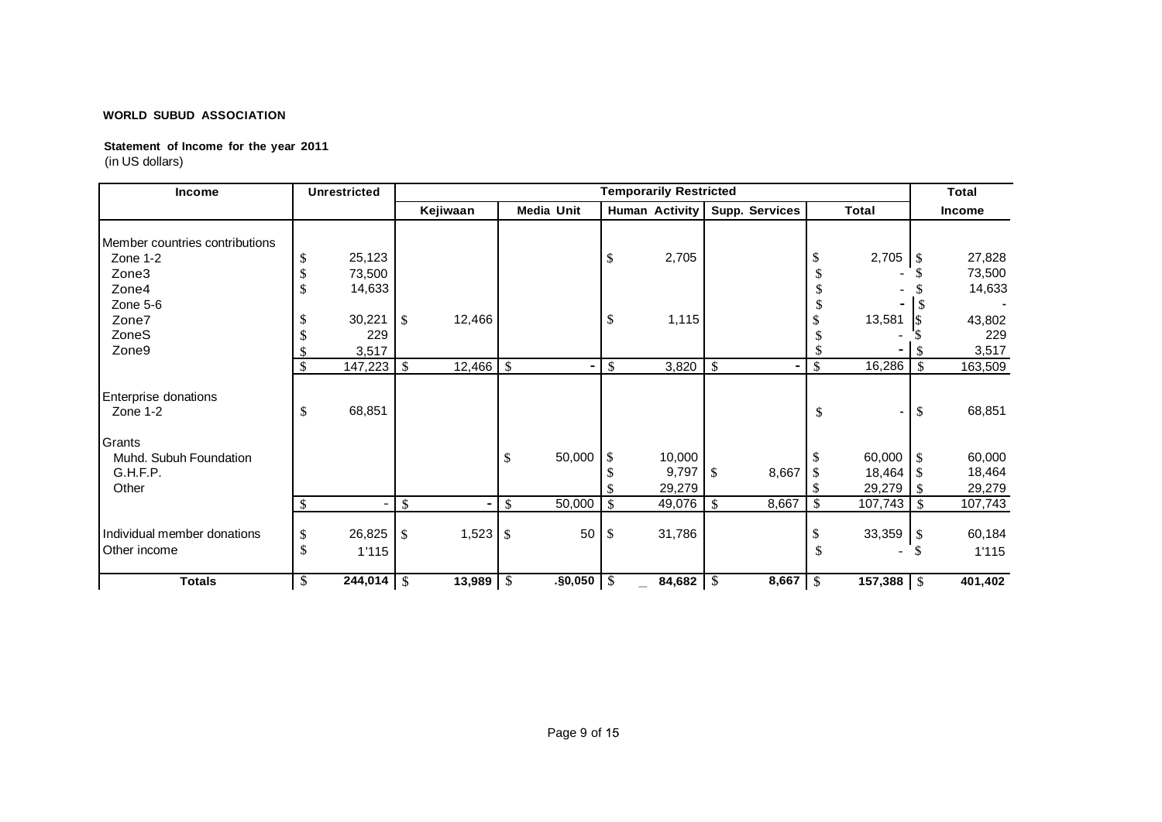## **Statement of Income for the year 2011** (in US dollars)

| <b>Income</b>                               | <b>Unrestricted</b>                    |               |          |               |                   |                           | <b>Temporarily Restricted</b> |                           |                |              |                       |     | <b>Total</b>    |
|---------------------------------------------|----------------------------------------|---------------|----------|---------------|-------------------|---------------------------|-------------------------------|---------------------------|----------------|--------------|-----------------------|-----|-----------------|
|                                             |                                        |               | Kejiwaan |               | <b>Media Unit</b> |                           | <b>Human Activity</b>         |                           | Supp. Services |              | <b>Total</b>          |     | <b>Income</b>   |
| Member countries contributions              |                                        |               |          |               |                   |                           |                               |                           |                |              |                       |     |                 |
| Zone 1-2                                    | 25,123                                 |               |          |               |                   | \$                        | 2,705                         |                           |                |              | 2,705                 | -\$ | 27,828          |
| Zone3                                       | 73,500                                 |               |          |               |                   |                           |                               |                           |                |              |                       |     | 73,500          |
| Zone4                                       | 14,633                                 |               |          |               |                   |                           |                               |                           |                |              |                       |     | 14,633          |
| Zone 5-6                                    |                                        |               |          |               |                   |                           |                               |                           |                |              |                       |     |                 |
| Zone7                                       | 30,221                                 | <sup>\$</sup> | 12,466   |               |                   | \$                        | 1,115                         |                           |                |              | 13,581                |     | 43,802          |
| ZoneS                                       | 229                                    |               |          |               |                   |                           |                               |                           |                |              |                       |     | 229             |
| Zone9                                       | 3,517                                  |               |          |               |                   |                           |                               |                           |                |              |                       |     | 3,517           |
|                                             | 147,223<br>$\mathcal{S}$               | $\mathbb{S}$  | 12,466   | $\mathcal{S}$ |                   | \$                        | 3,820                         | $\boldsymbol{\mathsf{S}}$ |                | \$           | 16,286                | \$  | 163,509         |
| Enterprise donations<br>Zone 1-2            | 68,851<br>\$                           |               |          |               |                   |                           |                               |                           |                | \$           | $\blacksquare$        | \$  | 68,851          |
| Grants                                      |                                        |               |          |               |                   |                           |                               |                           |                |              |                       |     |                 |
| Muhd. Subuh Foundation                      |                                        |               |          | \$            | 50,000            | \$                        | 10,000                        |                           |                |              | 60,000                | \$  | 60,000          |
| G.H.F.P.                                    |                                        |               |          |               |                   |                           | 9,797                         | $\mathcal{S}$             | 8,667          |              | 18,464                |     | 18,464          |
| Other                                       |                                        |               |          |               |                   |                           | 29,279                        |                           |                |              | 29,279                | S   | 29,279          |
|                                             |                                        | \$            |          | <sup>\$</sup> | 50,000            | \$                        | 49,076                        | -S                        | 8,667          | \$           | 107,743               | \$. | 107,743         |
| Individual member donations<br>Other income | 26,825<br>\$<br><sup>\$</sup><br>1'115 | $\mathbb{S}$  | 1,523    | \$            | 50                | <sup>\$</sup>             | 31,786                        |                           |                |              | 33,359                | -\$ | 60,184<br>1'115 |
| <b>Totals</b>                               | \$<br>244,014                          | $\sqrt{S}$    | 13,989   | -\$           | .§0,050           | $\boldsymbol{\mathsf{S}}$ | 84,682 $\frac{1}{3}$          |                           | 8,667          | $\mathbb{S}$ | 157,388 $\frac{1}{3}$ |     | 401,402         |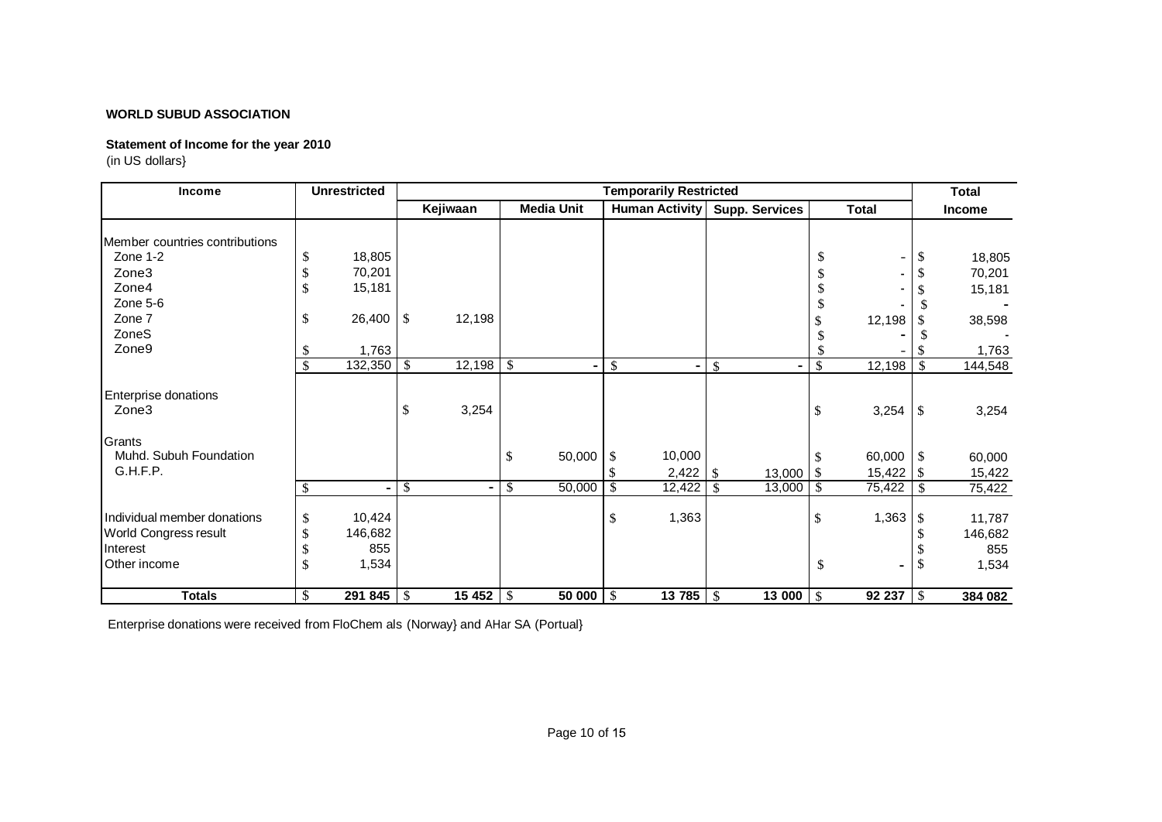# **Statement of Income for the year 2010**

(in US dollars}

| Income                                                                           |                | <b>Unrestricted</b>               |                          |          |              | <b>Total</b>      |                       |                          |             |               |              |                |                                   |
|----------------------------------------------------------------------------------|----------------|-----------------------------------|--------------------------|----------|--------------|-------------------|-----------------------|--------------------------|-------------|---------------|--------------|----------------|-----------------------------------|
|                                                                                  |                |                                   |                          | Kejiwaan |              | <b>Media Unit</b> | <b>Human Activity</b> | <b>Supp. Services</b>    |             |               | <b>Total</b> |                | <b>Income</b>                     |
|                                                                                  |                |                                   |                          |          |              |                   |                       |                          |             |               |              |                |                                   |
| Member countries contributions                                                   |                |                                   |                          |          |              |                   |                       |                          |             |               |              |                |                                   |
| Zone 1-2                                                                         | \$             | 18,805                            |                          |          |              |                   |                       |                          |             | \$            |              | \$             | 18,805                            |
| Zone3                                                                            | \$             | 70,201                            |                          |          |              |                   |                       |                          |             |               |              |                | 70,201                            |
| Zone4                                                                            |                | 15,181                            |                          |          |              |                   |                       |                          |             |               |              |                | 15,181                            |
| Zone 5-6                                                                         |                |                                   |                          |          |              |                   |                       |                          |             |               |              |                |                                   |
| Zone 7                                                                           | \$             | 26,400                            | -\$                      | 12,198   |              |                   |                       |                          |             |               | 12,198       |                | 38,598                            |
| ZoneS                                                                            |                |                                   |                          |          |              |                   |                       |                          |             |               |              |                |                                   |
| Zone9                                                                            | \$             | 1,763                             |                          |          |              |                   |                       |                          |             |               |              |                | 1,763                             |
|                                                                                  | \$             | 132,350                           | $\mathcal{S}$            | 12,198   | l \$         |                   | \$<br>۰               | $\mathcal{S}$            |             | $\mathbb{S}$  | 12,198       | $\mathcal{S}$  | 144,548                           |
| Enterprise donations<br>Zone3                                                    |                |                                   | \$                       | 3,254    |              |                   |                       |                          |             | \$            | 3,254        | \$             | 3,254                             |
| Grants                                                                           |                |                                   |                          |          |              |                   |                       |                          |             |               |              |                |                                   |
| Muhd. Subuh Foundation                                                           |                |                                   |                          |          | $\mathbb{S}$ | 50,000            | \$<br>10,000          |                          |             | <sup>\$</sup> | 60,000       | \$             | 60,000                            |
| G.H.F.P.                                                                         |                |                                   |                          |          |              |                   |                       |                          | $13,000$ \$ |               | 15,422       | $\overline{1}$ | 15,422                            |
|                                                                                  | \$             | ۰                                 | $\overline{\mathcal{S}}$ |          | \$           | 50,000            | \$<br>12,422          | $\overline{\mathcal{S}}$ | 13,000      | $\mathbb{S}$  | 75,422       | \$             | 75,422                            |
| Individual member donations<br>World Congress result<br>Interest<br>Other income | \$<br>\$<br>\$ | 10,424<br>146,682<br>855<br>1,534 |                          |          |              |                   | \$<br>1,363           |                          |             | \$<br>\$      | 1,363<br>-   | -S<br>\$       | 11,787<br>146,682<br>855<br>1,534 |
| <b>Totals</b>                                                                    | \$             | 291 845                           | $\sqrt{S}$               | 15 4 52  | $\vert$ \$   | 50 000            | \$<br>13785           | -\$                      | $13000$ \$  |               | 92 237       | <sup>\$</sup>  | 384 082                           |

Enterprise donations were received from FloChem als (Norway} and AHar SA (Portual}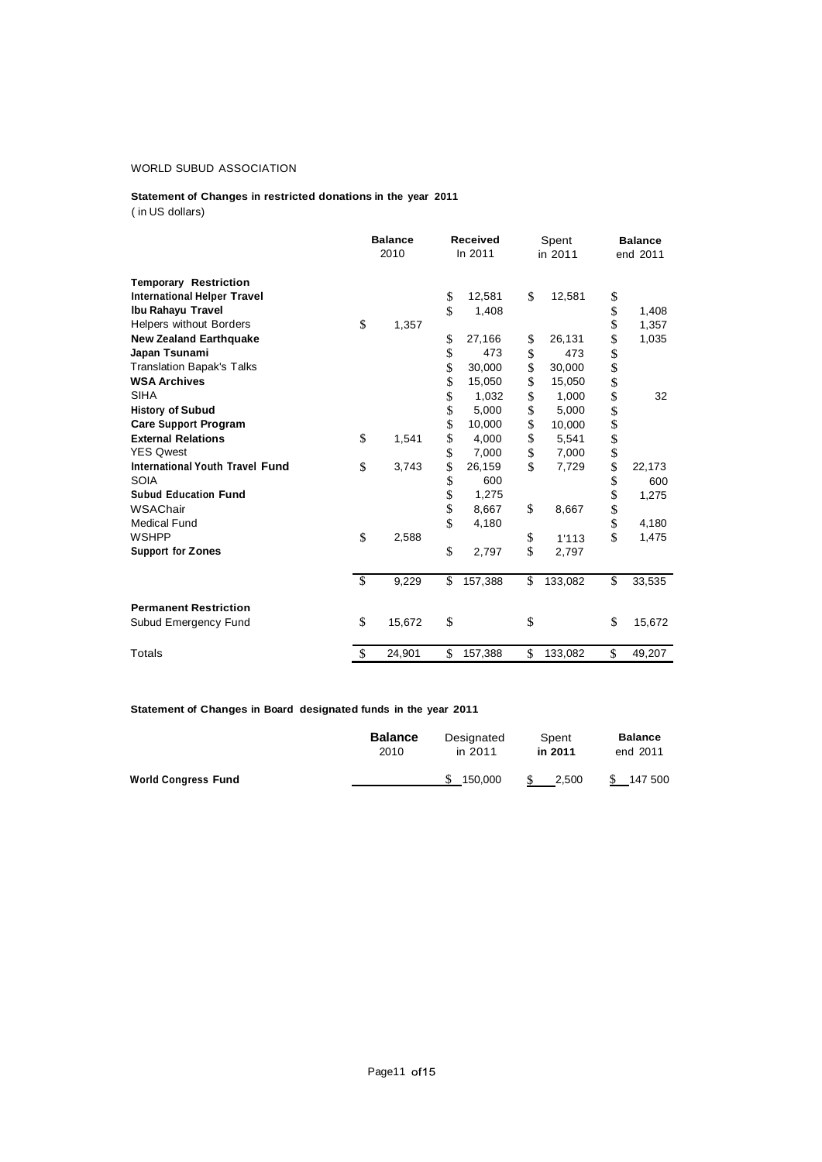# **Statement of Changes in restricted donations in the year 2011**

( in US dollars)

|                                    | <b>Balance</b><br>2010   |        | <b>Received</b><br>In 2011 |         | Spent<br>in 2011 |         | <b>Balance</b><br>end 2011 |        |
|------------------------------------|--------------------------|--------|----------------------------|---------|------------------|---------|----------------------------|--------|
| <b>Temporary Restriction</b>       |                          |        |                            |         |                  |         |                            |        |
| <b>International Helper Travel</b> |                          |        | \$                         | 12,581  | \$               | 12,581  | \$                         |        |
| Ibu Rahayu Travel                  |                          |        | \$                         | 1,408   |                  |         | \$                         | 1,408  |
| <b>Helpers without Borders</b>     | \$                       | 1,357  |                            |         |                  |         | \$                         | 1,357  |
| <b>New Zealand Earthquake</b>      |                          |        | \$                         | 27,166  | \$               | 26,131  | \$                         | 1,035  |
| Japan Tsunami                      |                          |        | \$                         | 473     | \$               | 473     |                            |        |
| <b>Translation Bapak's Talks</b>   |                          |        | \$                         | 30,000  | \$               | 30,000  | \$<br>\$                   |        |
| <b>WSA Archives</b>                |                          |        | \$                         | 15,050  | \$               | 15,050  | \$                         |        |
| <b>SIHA</b>                        |                          |        | \$                         | 1,032   | \$               | 1,000   | \$                         | 32     |
| <b>History of Subud</b>            |                          |        | \$                         | 5,000   | \$               | 5,000   | \$                         |        |
| <b>Care Support Program</b>        |                          |        | \$                         | 10,000  | \$               | 10,000  |                            |        |
| <b>External Relations</b>          | \$                       | 1,541  | \$                         | 4,000   | \$               | 5,541   | \$<br>\$                   |        |
| <b>YES Qwest</b>                   |                          |        | \$                         | 7,000   | \$               | 7,000   |                            |        |
| International Youth Travel Fund    | \$                       | 3,743  | \$                         | 26,159  | \$               | 7,729   | \$                         | 22,173 |
| <b>SOIA</b>                        |                          |        | \$                         | 600     |                  |         | \$                         | 600    |
| <b>Subud Education Fund</b>        |                          |        | \$                         | 1,275   |                  |         |                            | 1,275  |
| WSAChair                           |                          |        | \$                         | 8,667   | \$               | 8,667   | \$<br>\$                   |        |
| <b>Medical Fund</b>                |                          |        | \$                         | 4,180   |                  |         |                            | 4,180  |
| <b>WSHPP</b>                       | \$                       | 2,588  |                            |         | \$               | 1'113   | \$                         | 1,475  |
| <b>Support for Zones</b>           |                          |        | \$                         | 2,797   | \$               | 2,797   |                            |        |
|                                    | $\overline{\mathcal{S}}$ | 9,229  | \$                         | 157,388 | \$               | 133,082 | \$                         | 33,535 |
| <b>Permanent Restriction</b>       |                          |        |                            |         |                  |         |                            |        |
| Subud Emergency Fund               | \$                       | 15,672 | \$                         |         | \$               |         | \$                         | 15,672 |
| Totals                             | \$                       | 24,901 | \$                         | 157,388 | \$               | 133,082 | \$                         | 49,207 |

## **Statement of Changes in Board designated funds in the year 2011**

|                            | <b>Balance</b> | Designated | Spent   | <b>Balance</b> |  |
|----------------------------|----------------|------------|---------|----------------|--|
|                            | 2010           | in 2011    | in 2011 | end 2011       |  |
| <b>World Congress Fund</b> |                | 150.000    | 2.500   | S.<br>147 500  |  |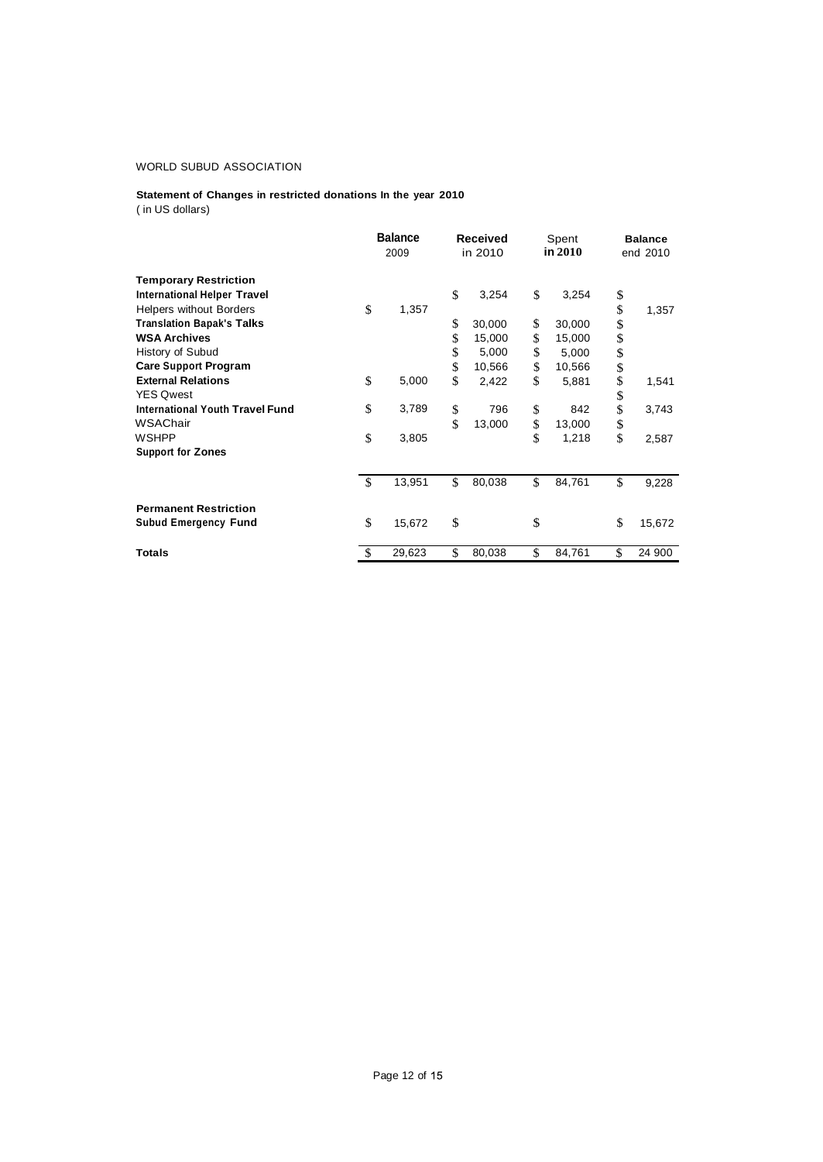## **Statement of Changes in restricted donations In the year 2010** ( in US dollars)

|                                        | <b>Balance</b><br>2009 |        | <b>Received</b><br>in 2010 |        | Spent<br>in 2010 |        | <b>Balance</b><br>end 2010 |        |
|----------------------------------------|------------------------|--------|----------------------------|--------|------------------|--------|----------------------------|--------|
| <b>Temporary Restriction</b>           |                        |        |                            |        |                  |        |                            |        |
| <b>International Helper Travel</b>     |                        |        | \$                         | 3,254  | \$               | 3,254  | \$                         |        |
| <b>Helpers without Borders</b>         | \$                     | 1,357  |                            |        |                  |        | \$                         | 1,357  |
| <b>Translation Bapak's Talks</b>       |                        |        | \$                         | 30,000 | \$               | 30,000 | \$                         |        |
| <b>WSA Archives</b>                    |                        |        | \$                         | 15,000 | \$               | 15,000 | \$                         |        |
| History of Subud                       |                        |        | \$                         | 5,000  | \$               | 5,000  | \$                         |        |
| <b>Care Support Program</b>            |                        |        | \$                         | 10,566 | \$               | 10,566 | \$                         |        |
| <b>External Relations</b>              | \$                     | 5,000  | \$                         | 2,422  | \$               | 5,881  | \$                         | 1,541  |
| <b>YES Qwest</b>                       |                        |        |                            |        |                  |        | \$                         |        |
| <b>International Youth Travel Fund</b> | \$                     | 3,789  | \$                         | 796    | \$               | 842    | \$                         | 3,743  |
| WSAChair                               |                        |        | \$                         | 13,000 | \$               | 13,000 | \$                         |        |
| <b>WSHPP</b>                           | \$                     | 3,805  |                            |        | \$               | 1,218  | \$                         | 2,587  |
| <b>Support for Zones</b>               |                        |        |                            |        |                  |        |                            |        |
|                                        | $\mathcal{S}$          | 13,951 | \$                         | 80,038 | \$               | 84,761 | \$                         | 9,228  |
| <b>Permanent Restriction</b>           |                        |        |                            |        |                  |        |                            |        |
| <b>Subud Emergency Fund</b>            | \$                     | 15,672 | \$                         |        | \$               |        | \$                         | 15,672 |
| <b>Totals</b>                          | <sup>\$</sup>          | 29,623 | \$                         | 80,038 | \$               | 84,761 | \$                         | 24 900 |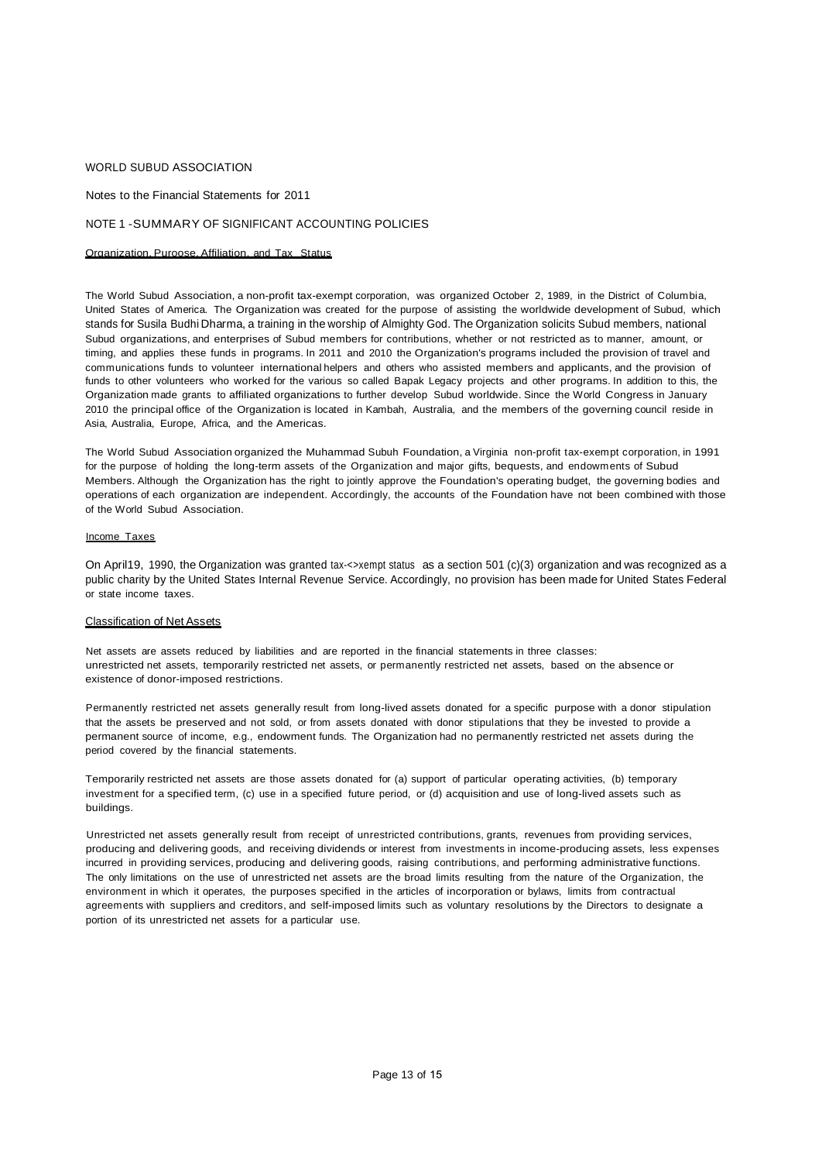Notes to the Financial Statements for 2011

#### NOTE 1 -SUMMARY OF SIGNIFICANT ACCOUNTING POLICIES

## Organization. Puroose. Affiliation. and Tax Status

The World Subud Association, a non-profit tax-exempt corporation, was organized October 2, 1989, in the District of Columbia, United States of America. The Organization was created for the purpose of assisting the worldwide development of Subud, which stands for Susila Budhi Dharma, a training in the worship of Almighty God. The Organization solicits Subud members, national Subud organizations, and enterprises of Subud members for contributions, whether or not restricted as to manner, amount, or timing, and applies these funds in programs. In 2011 and 2010 the Organization's programs included the provision of travel and communications funds to volunteer international helpers and others who assisted members and applicants, and the provision of funds to other volunteers who worked for the various so called Bapak Legacy projects and other programs. In addition to this, the Organization made grants to affiliated organizations to further develop Subud worldwide. Since the World Congress in January 2010 the principal office of the Organization is located in Kambah, Australia, and the members of the governing council reside in Asia, Australia, Europe, Africa, and the Americas.

The World Subud Association organized the Muhammad Subuh Foundation, a Virginia non-profit tax-exempt corporation, in 1991 for the purpose of holding the long-term assets of the Organization and major gifts, bequests, and endowments of Subud Members. Although the Organization has the right to jointly approve the Foundation's operating budget, the governing bodies and operations of each organization are independent. Accordingly, the accounts of the Foundation have not been combined with those of the World Subud Association.

## Income Taxes

On April19, 1990, the Organization was granted tax-<>xempt status as a section 501 (c)(3) organization and was recognized as a public charity by the United States Internal Revenue Service. Accordingly, no provision has been made for United States Federal or state income taxes.

## Classification of Net Assets

Net assets are assets reduced by liabilities and are reported in the financial statements in three classes: unrestricted net assets, temporarily restricted net assets, or permanently restricted net assets, based on the absence or existence of donor-imposed restrictions.

Permanently restricted net assets generally result from long-lived assets donated for a specific purpose with a donor stipulation that the assets be preserved and not sold, or from assets donated with donor stipulations that they be invested to provide a permanent source of income, e.g., endowment funds. The Organization had no permanently restricted net assets during the period covered by the financial statements.

Temporarily restricted net assets are those assets donated for (a) support of particular operating activities, (b) temporary investment for a specified term, (c) use in a specified future period, or (d) acquisition and use of long-lived assets such as buildings.

Unrestricted net assets generally result from receipt of unrestricted contributions, grants, revenues from providing services, producing and delivering goods, and receiving dividends or interest from investments in income-producing assets, less expenses incurred in providing services, producing and delivering goods, raising contributions, and performing administrative functions. The only limitations on the use of unrestricted net assets are the broad limits resulting from the nature of the Organization, the environment in which it operates, the purposes specified in the articles of incorporation or bylaws, limits from contractual agreements with suppliers and creditors, and self-imposed limits such as voluntary resolutions by the Directors to designate a portion of its unrestricted net assets for a particular use.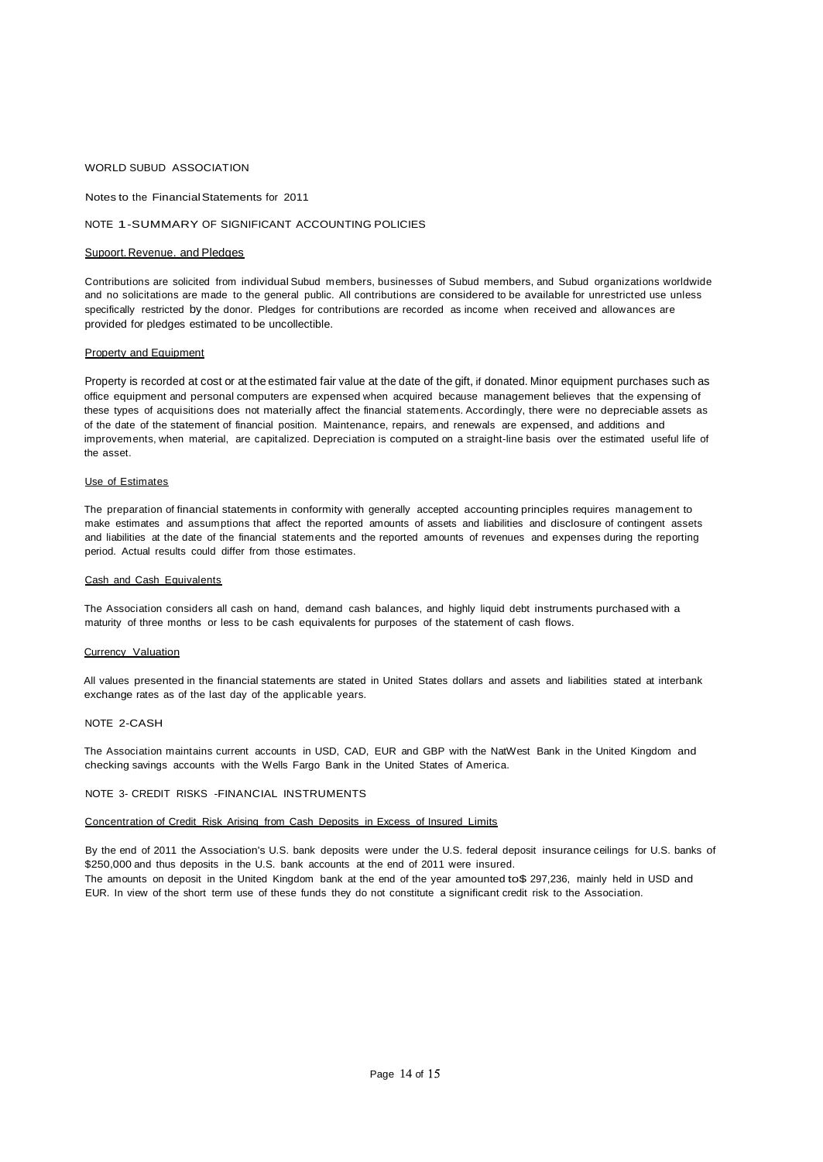Notes to the FinancialStatements for 2011

#### NOTE 1-SUMMARY OF SIGNIFICANT ACCOUNTING POLICIES

#### Supoort. Revenue. and Pledges

Contributions are solicited from individual Subud members, businesses of Subud members, and Subud organizations worldwide and no solicitations are made to the general public. All contributions are considered to be available for unrestricted use unless specifically restricted by the donor. Pledges for contributions are recorded as income when received and allowances are provided for pledges estimated to be uncollectible.

#### Property and Equipment

Property is recorded at cost or at the estimated fair value at the date of the gift, if donated. Minor equipment purchases such as office equipment and personal computers are expensed when acquired because management believes that the expensing of these types of acquisitions does not materially affect the financial statements. Accordingly, there were no depreciable assets as of the date of the statement of financial position. Maintenance, repairs, and renewals are expensed, and additions and improvements, when material, are capitalized. Depreciation is computed on a straight-line basis over the estimated useful life of the asset.

#### Use of Estimates

The preparation of financial statements in conformity with generally accepted accounting principles requires management to make estimates and assumptions that affect the reported amounts of assets and liabilities and disclosure of contingent assets and liabilities at the date of the financial statements and the reported amounts of revenues and expenses during the reporting period. Actual results could differ from those estimates.

#### Cash and Cash Equivalents

The Association considers all cash on hand, demand cash balances, and highly liquid debt instruments purchased with a maturity of three months or less to be cash equivalents for purposes of the statement of cash flows.

#### Currency Valuation

All values presented in the financial statements are stated in United States dollars and assets and liabilities stated at interbank exchange rates as of the last day of the applicable years.

#### NOTE 2-CASH

The Association maintains current accounts in USD, CAD, EUR and GBP with the NatWest Bank in the United Kingdom and checking savings accounts with the Wells Fargo Bank in the United States of America.

#### NOTE 3- CREDIT RISKS -FINANCIAL INSTRUMENTS

## Concentration of Credit Risk Arising from Cash Deposits in Excess of Insured Limits

By the end of 2011 the Association's U.S. bank deposits were under the U.S. federal deposit insurance ceilings for U.S. banks of \$250,000 and thus deposits in the U.S. bank accounts at the end of 2011 were insured. The amounts on deposit in the United Kingdom bank at the end of the year amounted to\$ 297,236, mainly held in USD and EUR. In view of the short term use of these funds they do not constitute a significant credit risk to the Association.